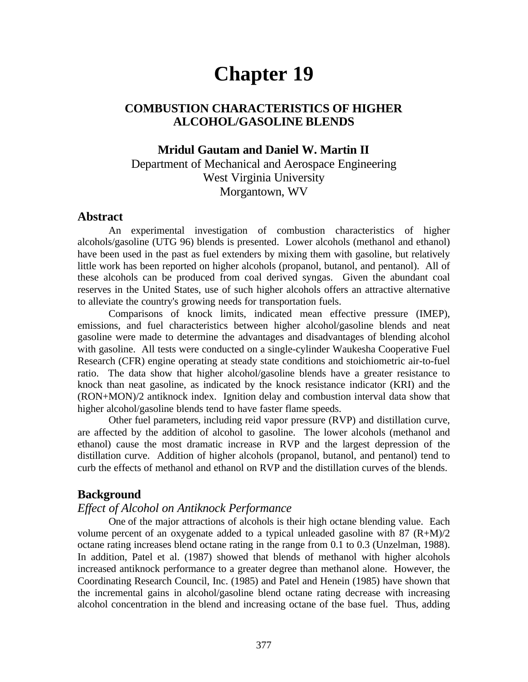# **Chapter 19**

# **COMBUSTION CHARACTERISTICS OF HIGHER ALCOHOL/GASOLINE BLENDS**

# **Mridul Gautam and Daniel W. Martin II**

Department of Mechanical and Aerospace Engineering West Virginia University Morgantown, WV

## **Abstract**

An experimental investigation of combustion characteristics of higher alcohols/gasoline (UTG 96) blends is presented. Lower alcohols (methanol and ethanol) have been used in the past as fuel extenders by mixing them with gasoline, but relatively little work has been reported on higher alcohols (propanol, butanol, and pentanol). All of these alcohols can be produced from coal derived syngas. Given the abundant coal reserves in the United States, use of such higher alcohols offers an attractive alternative to alleviate the country's growing needs for transportation fuels.

Comparisons of knock limits, indicated mean effective pressure (IMEP), emissions, and fuel characteristics between higher alcohol/gasoline blends and neat gasoline were made to determine the advantages and disadvantages of blending alcohol with gasoline. All tests were conducted on a single-cylinder Waukesha Cooperative Fuel Research (CFR) engine operating at steady state conditions and stoichiometric air-to-fuel ratio. The data show that higher alcohol/gasoline blends have a greater resistance to knock than neat gasoline, as indicated by the knock resistance indicator (KRI) and the (RON+MON)/2 antiknock index. Ignition delay and combustion interval data show that higher alcohol/gasoline blends tend to have faster flame speeds.

Other fuel parameters, including reid vapor pressure (RVP) and distillation curve, are affected by the addition of alcohol to gasoline. The lower alcohols (methanol and ethanol) cause the most dramatic increase in RVP and the largest depression of the distillation curve. Addition of higher alcohols (propanol, butanol, and pentanol) tend to curb the effects of methanol and ethanol on RVP and the distillation curves of the blends.

## **Background**

## *Effect of Alcohol on Antiknock Performance*

One of the major attractions of alcohols is their high octane blending value. Each volume percent of an oxygenate added to a typical unleaded gasoline with  $87 \frac{(R+M)}{2}$ octane rating increases blend octane rating in the range from 0.1 to 0.3 (Unzelman, 1988). In addition, Patel et al. (1987) showed that blends of methanol with higher alcohols increased antiknock performance to a greater degree than methanol alone. However, the Coordinating Research Council, Inc. (1985) and Patel and Henein (1985) have shown that the incremental gains in alcohol/gasoline blend octane rating decrease with increasing alcohol concentration in the blend and increasing octane of the base fuel. Thus, adding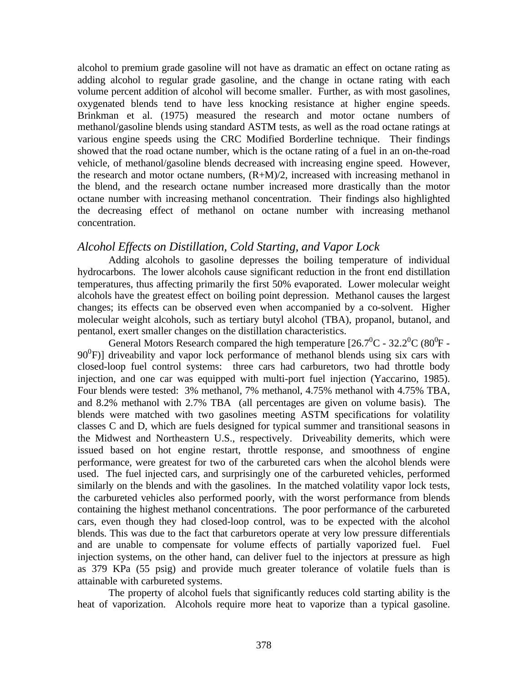alcohol to premium grade gasoline will not have as dramatic an effect on octane rating as adding alcohol to regular grade gasoline, and the change in octane rating with each volume percent addition of alcohol will become smaller. Further, as with most gasolines, oxygenated blends tend to have less knocking resistance at higher engine speeds. Brinkman et al. (1975) measured the research and motor octane numbers of methanol/gasoline blends using standard ASTM tests, as well as the road octane ratings at various engine speeds using the CRC Modified Borderline technique. Their findings showed that the road octane number, which is the octane rating of a fuel in an on-the-road vehicle, of methanol/gasoline blends decreased with increasing engine speed. However, the research and motor octane numbers,  $(R+M)/2$ , increased with increasing methanol in the blend, and the research octane number increased more drastically than the motor octane number with increasing methanol concentration. Their findings also highlighted the decreasing effect of methanol on octane number with increasing methanol concentration.

# *Alcohol Effects on Distillation, Cold Starting, and Vapor Lock*

Adding alcohols to gasoline depresses the boiling temperature of individual hydrocarbons. The lower alcohols cause significant reduction in the front end distillation temperatures, thus affecting primarily the first 50% evaporated. Lower molecular weight alcohols have the greatest effect on boiling point depression. Methanol causes the largest changes; its effects can be observed even when accompanied by a co-solvent. Higher molecular weight alcohols, such as tertiary butyl alcohol (TBA), propanol, butanol, and pentanol, exert smaller changes on the distillation characteristics.

General Motors Research compared the high temperature [26.7 $\rm ^{0}C$  - 32.2 $\rm ^{0}C$  (80 $\rm ^{0}F$  -90<sup>0</sup>F)] driveability and vapor lock performance of methanol blends using six cars with closed-loop fuel control systems: three cars had carburetors, two had throttle body injection, and one car was equipped with multi-port fuel injection (Yaccarino, 1985). Four blends were tested: 3% methanol, 7% methanol, 4.75% methanol with 4.75% TBA, and 8.2% methanol with 2.7% TBA (all percentages are given on volume basis). The blends were matched with two gasolines meeting ASTM specifications for volatility classes C and D, which are fuels designed for typical summer and transitional seasons in the Midwest and Northeastern U.S., respectively. Driveability demerits, which were issued based on hot engine restart, throttle response, and smoothness of engine performance, were greatest for two of the carbureted cars when the alcohol blends were used. The fuel injected cars, and surprisingly one of the carbureted vehicles, performed similarly on the blends and with the gasolines. In the matched volatility vapor lock tests, the carbureted vehicles also performed poorly, with the worst performance from blends containing the highest methanol concentrations. The poor performance of the carbureted cars, even though they had closed-loop control, was to be expected with the alcohol blends. This was due to the fact that carburetors operate at very low pressure differentials and are unable to compensate for volume effects of partially vaporized fuel. Fuel injection systems, on the other hand, can deliver fuel to the injectors at pressure as high as 379 KPa (55 psig) and provide much greater tolerance of volatile fuels than is attainable with carbureted systems.

The property of alcohol fuels that significantly reduces cold starting ability is the heat of vaporization. Alcohols require more heat to vaporize than a typical gasoline.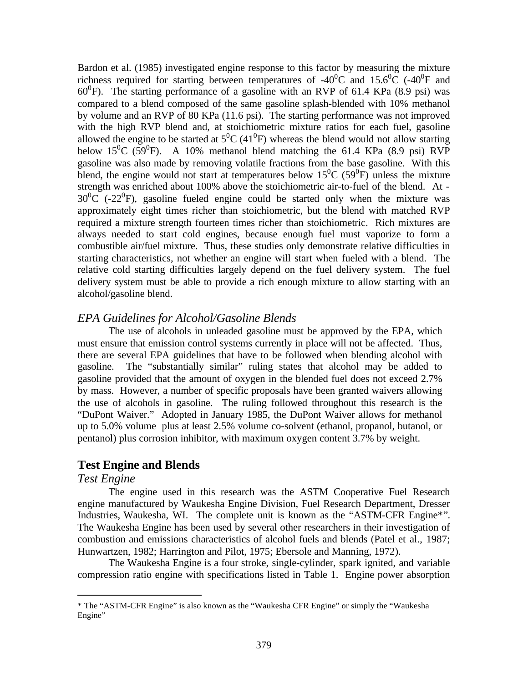Bardon et al. (1985) investigated engine response to this factor by measuring the mixture richness required for starting between temperatures of -40<sup>0</sup>C and 15.6<sup>0</sup>C (-40<sup>0</sup>F and  $60^0$ F). The starting performance of a gasoline with an RVP of 61.4 KPa (8.9 psi) was compared to a blend composed of the same gasoline splash-blended with 10% methanol by volume and an RVP of 80 KPa (11.6 psi). The starting performance was not improved with the high RVP blend and, at stoichiometric mixture ratios for each fuel, gasoline allowed the engine to be started at  $5^0C(41^0F)$  whereas the blend would not allow starting below 15<sup>0</sup>C (59<sup>0</sup>F). A 10% methanol blend matching the 61.4 KPa (8.9 psi) RVP gasoline was also made by removing volatile fractions from the base gasoline. With this blend, the engine would not start at temperatures below  $15^0C(59^0F)$  unless the mixture strength was enriched about 100% above the stoichiometric air-to-fuel of the blend. At -  $30^0C$  (-22<sup>0</sup>F), gasoline fueled engine could be started only when the mixture was approximately eight times richer than stoichiometric, but the blend with matched RVP required a mixture strength fourteen times richer than stoichiometric. Rich mixtures are always needed to start cold engines, because enough fuel must vaporize to form a combustible air/fuel mixture. Thus, these studies only demonstrate relative difficulties in starting characteristics, not whether an engine will start when fueled with a blend. The relative cold starting difficulties largely depend on the fuel delivery system. The fuel delivery system must be able to provide a rich enough mixture to allow starting with an alcohol/gasoline blend.

# *EPA Guidelines for Alcohol/Gasoline Blends*

The use of alcohols in unleaded gasoline must be approved by the EPA, which must ensure that emission control systems currently in place will not be affected. Thus, there are several EPA guidelines that have to be followed when blending alcohol with gasoline. The "substantially similar" ruling states that alcohol may be added to gasoline provided that the amount of oxygen in the blended fuel does not exceed 2.7% by mass. However, a number of specific proposals have been granted waivers allowing the use of alcohols in gasoline. The ruling followed throughout this research is the "DuPont Waiver." Adopted in January 1985, the DuPont Waiver allows for methanol up to 5.0% volume plus at least 2.5% volume co-solvent (ethanol, propanol, butanol, or pentanol) plus corrosion inhibitor, with maximum oxygen content 3.7% by weight.

# **Test Engine and Blends**

## *Test Engine*

 $\overline{a}$ 

The engine used in this research was the ASTM Cooperative Fuel Research engine manufactured by Waukesha Engine Division, Fuel Research Department, Dresser Industries, Waukesha, WI. The complete unit is known as the "ASTM-CFR Engine\*". The Waukesha Engine has been used by several other researchers in their investigation of combustion and emissions characteristics of alcohol fuels and blends (Patel et al., 1987; Hunwartzen, 1982; Harrington and Pilot, 1975; Ebersole and Manning, 1972).

The Waukesha Engine is a four stroke, single-cylinder, spark ignited, and variable compression ratio engine with specifications listed in Table 1. Engine power absorption

<sup>\*</sup> The "ASTM-CFR Engine" is also known as the "Waukesha CFR Engine" or simply the "Waukesha Engine"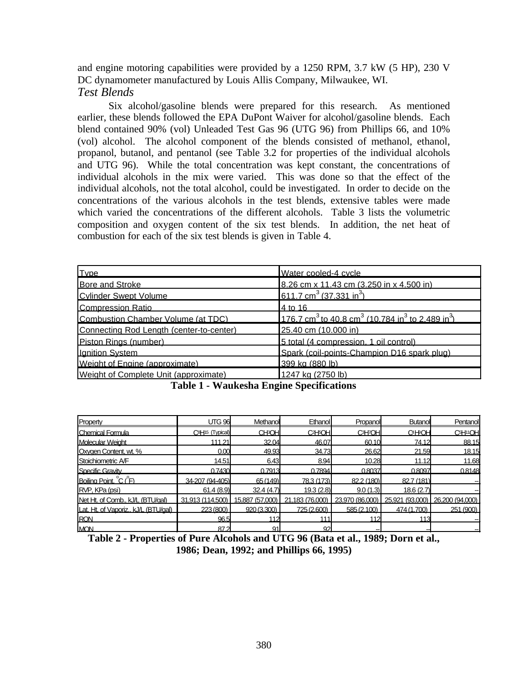and engine motoring capabilities were provided by a 1250 RPM, 3.7 kW (5 HP), 230 V DC dynamometer manufactured by Louis Allis Company, Milwaukee, WI. *Test Blends*

Six alcohol/gasoline blends were prepared for this research. As mentioned earlier, these blends followed the EPA DuPont Waiver for alcohol/gasoline blends. Each blend contained 90% (vol) Unleaded Test Gas 96 (UTG 96) from Phillips 66, and 10% (vol) alcohol. The alcohol component of the blends consisted of methanol, ethanol, propanol, butanol, and pentanol (see Table 3.2 for properties of the individual alcohols and UTG 96). While the total concentration was kept constant, the concentrations of individual alcohols in the mix were varied. This was done so that the effect of the individual alcohols, not the total alcohol, could be investigated. In order to decide on the concentrations of the various alcohols in the test blends, extensive tables were made which varied the concentrations of the different alcohols. Table 3 lists the volumetric composition and oxygen content of the six test blends. In addition, the net heat of combustion for each of the six test blends is given in Table 4.

| Type                                     | Water cooled-4 cycle                                                                             |
|------------------------------------------|--------------------------------------------------------------------------------------------------|
| <b>Bore and Stroke</b>                   | 8.26 cm x 11.43 cm (3.250 in x 4.500 in)                                                         |
| <b>Cylinder Swept Volume</b>             | 611.7 cm <sup>3</sup> (37.331 in <sup>3</sup> )                                                  |
| <b>Compression Ratio</b>                 | 4 to 16                                                                                          |
| Combustion Chamber Volume (at TDC)       | 176.7 cm <sup>3</sup> to 40.8 cm <sup>3</sup> (10.784 in <sup>3</sup> to 2.489 in <sup>3</sup> ) |
| Connecting Rod Length (center-to-center) | 25.40 cm (10.000 in)                                                                             |
| Piston Rings (number)                    | 5 total (4 compression, 1 oil control)                                                           |
| Ignition System                          | Spark (coil-points-Champion D16 spark plug)                                                      |
| Weight of Engine (approximate)           | 399 kg (880 lb)                                                                                  |
| Weight of Complete Unit (approximate)    | 1247 kg (2750 lb)                                                                                |

**Table 1 - Waukesha Engine Specifications**

| Property                             | <b>UTG 96</b>                            | Methanol                | Ethanol                           | Propanol                          | <b>Butanol</b>                   | Pentanol                          |
|--------------------------------------|------------------------------------------|-------------------------|-----------------------------------|-----------------------------------|----------------------------------|-----------------------------------|
| Chemical Formula                     | C <sup>8</sup> H <sub>15</sub> (Typical) | <b>CH<sub>3</sub>OH</b> | C <sub>2</sub> H <sub>5</sub> OHI | C <sub>3</sub> H <sub>7</sub> OHI | C <sub>4</sub> H <sub>P</sub> OH | C <sub>5</sub> H <sub>11</sub> OH |
| Molecular Weight                     | 111.21                                   | 32.04                   | 46.07                             | 60.10                             | 74.12                            | 88.15                             |
| Oxygen Content, wt. %                | 0.00                                     | 49.93                   | 34.73                             | 26.62                             | 21.59                            | 18.15                             |
| Stoichiometric A/F                   | 14.51                                    | 6.43                    | 8.94                              | 10.28                             | 11.12                            | 11.68                             |
| Specific Gravity                     | 0.7430                                   | 0.7913                  | 0.7894                            | 0.8037                            | 0.8097                           | 0.8148                            |
| Boiling Point, C (F)                 | 34-207 (94-405)                          | 65 (149)                | 78.3 (173)                        | 82.2 (180)                        | 82.7 (181)                       |                                   |
| RVP, KPa (psi)                       | 61.4(8.9)                                | 32.4(4.7)               | 19.3 (2.8)                        | 9.0(1.3)                          | 18.6 (2.7)                       |                                   |
| Net Ht. of Comb., kJ/L (BTU/gal)     | 31,913 (114,500)                         | 15,887 (57,000)         | 21,183 (76,000)                   | 23,970 (86,000)                   |                                  | 25,921 (93,000) 26,200 (94,000)   |
| Lat. Ht. of Vaporiz., kJ/L (BTU/gal) | 223 (800)                                | 920(3.300)              | 725 (2.600)                       | 585 (2.100)                       | 474 (1.700)                      | 251 (900)                         |
| <b>RON</b>                           | 96.5                                     | 112                     | 111                               | 112                               | 113                              |                                   |
| <b>MON</b>                           | 87.2                                     | 91                      | 92                                |                                   |                                  |                                   |

**Table 2 - Properties of Pure Alcohols and UTG 96 (Bata et al., 1989; Dorn et al., 1986; Dean, 1992; and Phillips 66, 1995)**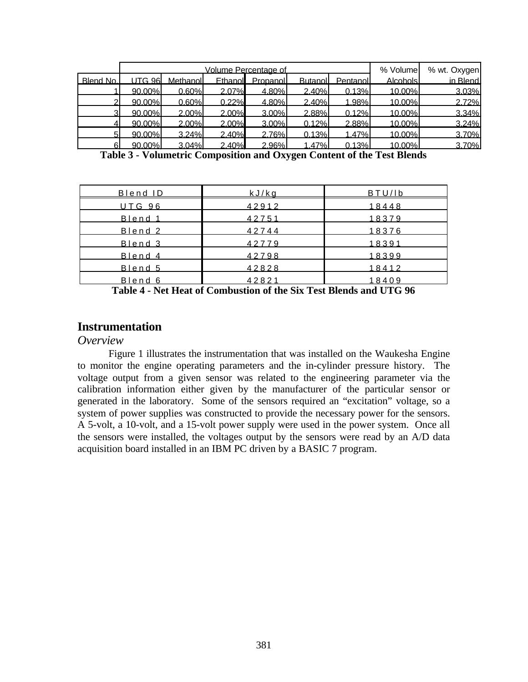|                 | Volume Percentage of |          |          |          | % Volume       | % wt. Oxygen |          |          |
|-----------------|----------------------|----------|----------|----------|----------------|--------------|----------|----------|
| <b>Blend No</b> | LITG 96              | Methanol | Fthanol  | Propanol | <b>Butanol</b> | Pentanol     | Alcohols | in Blend |
|                 | 90.00%               | 0.60%    | 2.07%    | 4.80%    | 2.40%          | 0.13%        | 10.00%   | 3.03%    |
|                 | 90.00%               | 0.60%    | 0.22%    | 4.80%    | 2.40%          | 1.98%        | 10.00%   | 2.72%    |
| 2.              | 90.00%               | 2.00%    | 2.00%    | 3.00%    | 2.88%          | 0.12%        | 10.00%   | 3.34%    |
|                 | 90.00%               | $2.00\%$ | $2.00\%$ | $3.00\%$ | 0.12%          | 2.88%        | 10.00%   | 3.24%    |
|                 | 90.00%               | 3.24%    | 2.40%    | 2.76%    | 0.13%          | 1.47%        | 10.00%   | 3.70%    |
|                 | 90.00%               | 3.04%    | 2.40%    | 2.96%    | 1.47%          | 0.13%        | 10.00%   | 3.70%    |

**Table 3 - Volumetric Composition and Oxygen Content of the Test Blends**

| <u>Blend ID</u> | kJ/ka |       |
|-----------------|-------|-------|
| <b>UTG 96</b>   | 42912 | 18448 |
| Blend 1         | 42751 | 18379 |
| Blend 2         | 42744 | 18376 |
| Blend 3         | 42779 | 18391 |
| Blend 4         | 42798 | 18399 |
| Blend 5         | 42828 | 18412 |
| Blend 6         | 42821 | 18409 |

**Table 4 - Net Heat of Combustion of the Six Test Blends and UTG 96**

# **Instrumentation**

#### *Overview*

Figure 1 illustrates the instrumentation that was installed on the Waukesha Engine to monitor the engine operating parameters and the in-cylinder pressure history. The voltage output from a given sensor was related to the engineering parameter via the calibration information either given by the manufacturer of the particular sensor or generated in the laboratory. Some of the sensors required an "excitation" voltage, so a system of power supplies was constructed to provide the necessary power for the sensors. A 5-volt, a 10-volt, and a 15-volt power supply were used in the power system. Once all the sensors were installed, the voltages output by the sensors were read by an A/D data acquisition board installed in an IBM PC driven by a BASIC 7 program.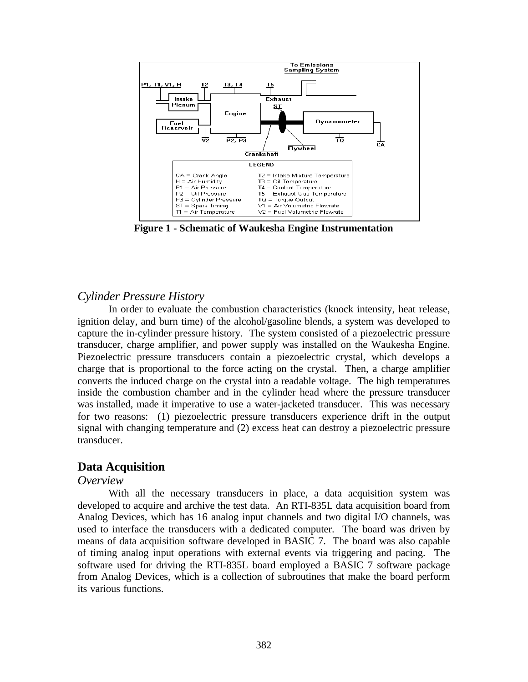

**Figure 1 - Schematic of Waukesha Engine Instrumentation**

# *Cylinder Pressure History*

In order to evaluate the combustion characteristics (knock intensity, heat release, ignition delay, and burn time) of the alcohol/gasoline blends, a system was developed to capture the in-cylinder pressure history. The system consisted of a piezoelectric pressure transducer, charge amplifier, and power supply was installed on the Waukesha Engine. Piezoelectric pressure transducers contain a piezoelectric crystal, which develops a charge that is proportional to the force acting on the crystal. Then, a charge amplifier converts the induced charge on the crystal into a readable voltage. The high temperatures inside the combustion chamber and in the cylinder head where the pressure transducer was installed, made it imperative to use a water-jacketed transducer. This was necessary for two reasons: (1) piezoelectric pressure transducers experience drift in the output signal with changing temperature and (2) excess heat can destroy a piezoelectric pressure transducer.

# **Data Acquisition**

## *Overview*

With all the necessary transducers in place, a data acquisition system was developed to acquire and archive the test data. An RTI-835L data acquisition board from Analog Devices, which has 16 analog input channels and two digital I/O channels, was used to interface the transducers with a dedicated computer. The board was driven by means of data acquisition software developed in BASIC 7. The board was also capable of timing analog input operations with external events via triggering and pacing. The software used for driving the RTI-835L board employed a BASIC 7 software package from Analog Devices, which is a collection of subroutines that make the board perform its various functions.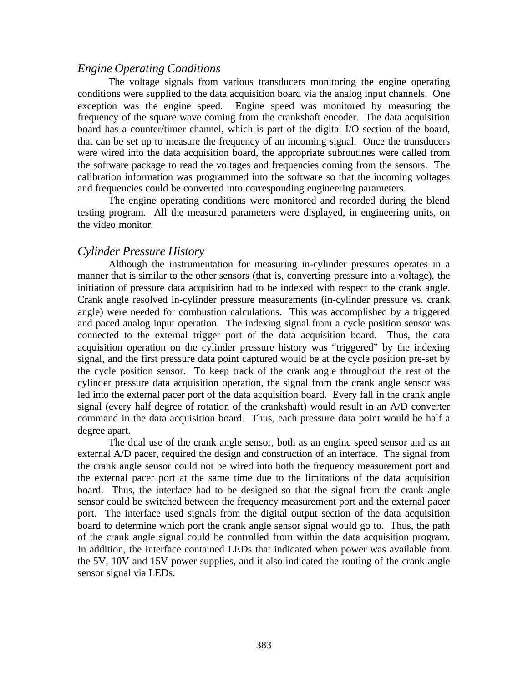## *Engine Operating Conditions*

The voltage signals from various transducers monitoring the engine operating conditions were supplied to the data acquisition board via the analog input channels. One exception was the engine speed. Engine speed was monitored by measuring the frequency of the square wave coming from the crankshaft encoder. The data acquisition board has a counter/timer channel, which is part of the digital I/O section of the board, that can be set up to measure the frequency of an incoming signal. Once the transducers were wired into the data acquisition board, the appropriate subroutines were called from the software package to read the voltages and frequencies coming from the sensors. The calibration information was programmed into the software so that the incoming voltages and frequencies could be converted into corresponding engineering parameters.

The engine operating conditions were monitored and recorded during the blend testing program. All the measured parameters were displayed, in engineering units, on the video monitor.

# *Cylinder Pressure History*

Although the instrumentation for measuring in-cylinder pressures operates in a manner that is similar to the other sensors (that is, converting pressure into a voltage), the initiation of pressure data acquisition had to be indexed with respect to the crank angle. Crank angle resolved in-cylinder pressure measurements (in-cylinder pressure vs. crank angle) were needed for combustion calculations. This was accomplished by a triggered and paced analog input operation. The indexing signal from a cycle position sensor was connected to the external trigger port of the data acquisition board. Thus, the data acquisition operation on the cylinder pressure history was "triggered" by the indexing signal, and the first pressure data point captured would be at the cycle position pre-set by the cycle position sensor. To keep track of the crank angle throughout the rest of the cylinder pressure data acquisition operation, the signal from the crank angle sensor was led into the external pacer port of the data acquisition board. Every fall in the crank angle signal (every half degree of rotation of the crankshaft) would result in an A/D converter command in the data acquisition board. Thus, each pressure data point would be half a degree apart.

The dual use of the crank angle sensor, both as an engine speed sensor and as an external A/D pacer, required the design and construction of an interface. The signal from the crank angle sensor could not be wired into both the frequency measurement port and the external pacer port at the same time due to the limitations of the data acquisition board. Thus, the interface had to be designed so that the signal from the crank angle sensor could be switched between the frequency measurement port and the external pacer port. The interface used signals from the digital output section of the data acquisition board to determine which port the crank angle sensor signal would go to. Thus, the path of the crank angle signal could be controlled from within the data acquisition program. In addition, the interface contained LEDs that indicated when power was available from the 5V, 10V and 15V power supplies, and it also indicated the routing of the crank angle sensor signal via LEDs.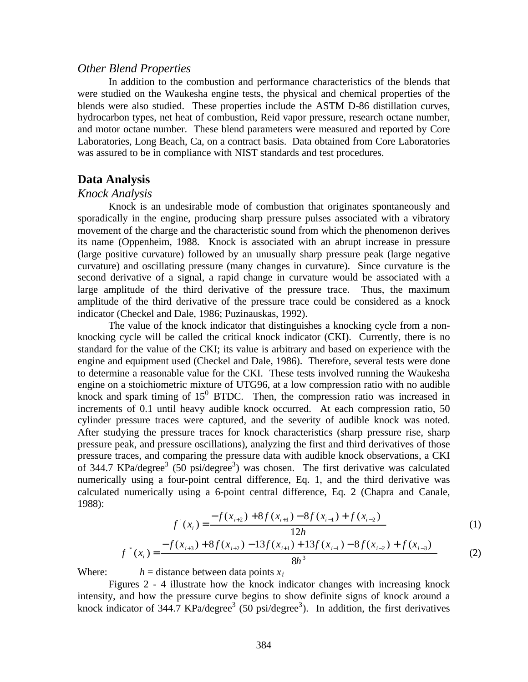#### *Other Blend Properties*

In addition to the combustion and performance characteristics of the blends that were studied on the Waukesha engine tests, the physical and chemical properties of the blends were also studied. These properties include the ASTM D-86 distillation curves, hydrocarbon types, net heat of combustion, Reid vapor pressure, research octane number, and motor octane number. These blend parameters were measured and reported by Core Laboratories, Long Beach, Ca, on a contract basis. Data obtained from Core Laboratories was assured to be in compliance with NIST standards and test procedures.

### **Data Analysis**

#### *Knock Analysis*

Knock is an undesirable mode of combustion that originates spontaneously and sporadically in the engine, producing sharp pressure pulses associated with a vibratory movement of the charge and the characteristic sound from which the phenomenon derives its name (Oppenheim, 1988. Knock is associated with an abrupt increase in pressure (large positive curvature) followed by an unusually sharp pressure peak (large negative curvature) and oscillating pressure (many changes in curvature). Since curvature is the second derivative of a signal, a rapid change in curvature would be associated with a large amplitude of the third derivative of the pressure trace. Thus, the maximum amplitude of the third derivative of the pressure trace could be considered as a knock indicator (Checkel and Dale, 1986; Puzinauskas, 1992).

The value of the knock indicator that distinguishes a knocking cycle from a nonknocking cycle will be called the critical knock indicator (CKI). Currently, there is no standard for the value of the CKI; its value is arbitrary and based on experience with the engine and equipment used (Checkel and Dale, 1986). Therefore, several tests were done to determine a reasonable value for the CKI. These tests involved running the Waukesha engine on a stoichiometric mixture of UTG96, at a low compression ratio with no audible knock and spark timing of  $15^0$  BTDC. Then, the compression ratio was increased in increments of 0.1 until heavy audible knock occurred. At each compression ratio, 50 cylinder pressure traces were captured, and the severity of audible knock was noted. After studying the pressure traces for knock characteristics (sharp pressure rise, sharp pressure peak, and pressure oscillations), analyzing the first and third derivatives of those pressure traces, and comparing the pressure data with audible knock observations, a CKI of 344.7 KPa/degree<sup>3</sup> (50 psi/degree<sup>3</sup>) was chosen. The first derivative was calculated numerically using a four-point central difference, Eq. 1, and the third derivative was calculated numerically using a 6-point central difference, Eq. 2 (Chapra and Canale, 1988):

$$
f'(x_i) = \frac{-f(x_{i+2}) + 8f(x_{i+1}) - 8f(x_{i-1}) + f(x_{i-2})}{12h}
$$
 (1)

$$
f'''(x_i) = \frac{-f(x_{i+3}) + 8f(x_{i+2}) - 13f(x_{i+1}) + 13f(x_{i-1}) - 8f(x_{i-2}) + f(x_{i-3})}{8h^3}
$$
 (2)

Where:  $h =$  distance between data points  $x_i$ 

Figures 2 - 4 illustrate how the knock indicator changes with increasing knock intensity, and how the pressure curve begins to show definite signs of knock around a knock indicator of 344.7 KPa/degree<sup>3</sup> (50 psi/degree<sup>3</sup>). In addition, the first derivatives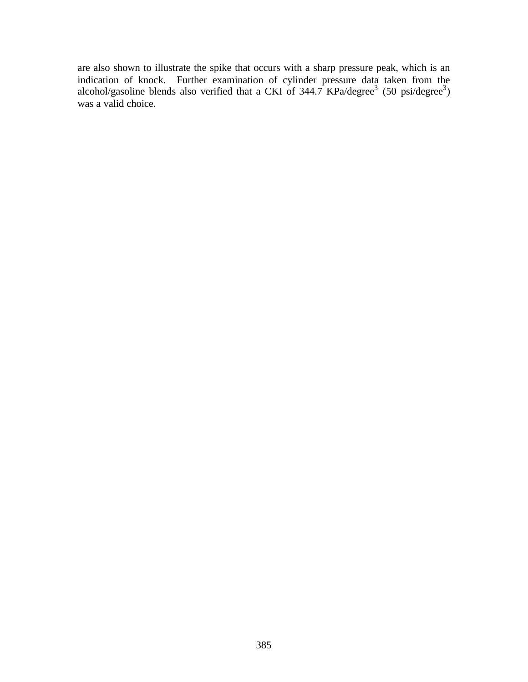are also shown to illustrate the spike that occurs with a sharp pressure peak, which is an indication of knock. Further examination of cylinder pressure data taken from the alcohol/gasoline blends also verified that a CKI of  $344.7$  KPa/degree<sup>3</sup> (50 psi/degree<sup>3</sup>) was a valid choice.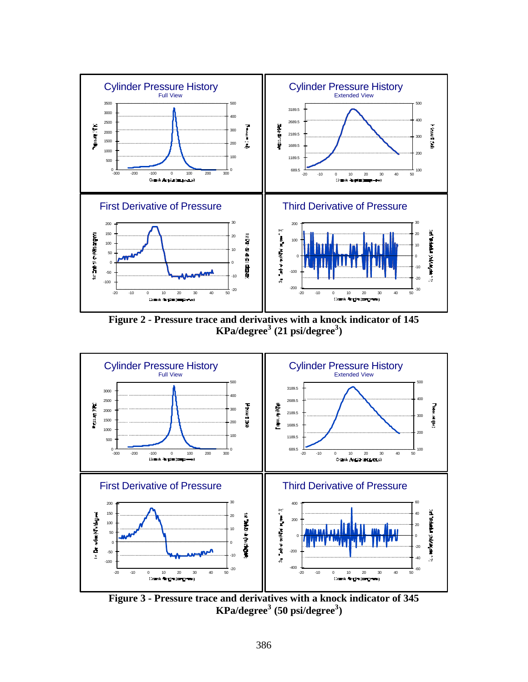

**Figure 2 - Pressure trace and derivatives with a knock indicator of 145 KPa/degree<sup>3</sup> (21 psi/degree<sup>3</sup> )**



**Figure 3 - Pressure trace and derivatives with a knock indicator of 345 KPa/degree<sup>3</sup> (50 psi/degree<sup>3</sup> )**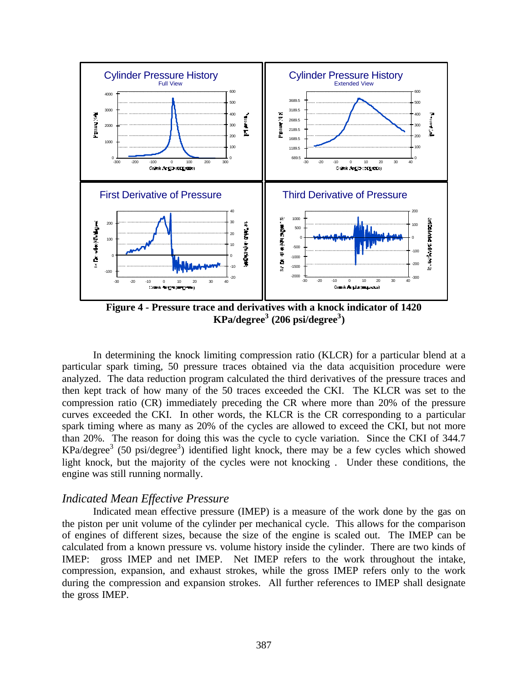

**Figure 4 - Pressure trace and derivatives with a knock indicator of 1420 KPa/degree<sup>3</sup> (206 psi/degree<sup>3</sup> )**

In determining the knock limiting compression ratio (KLCR) for a particular blend at a particular spark timing, 50 pressure traces obtained via the data acquisition procedure were analyzed. The data reduction program calculated the third derivatives of the pressure traces and then kept track of how many of the 50 traces exceeded the CKI. The KLCR was set to the compression ratio (CR) immediately preceding the CR where more than 20% of the pressure curves exceeded the CKI. In other words, the KLCR is the CR corresponding to a particular spark timing where as many as 20% of the cycles are allowed to exceed the CKI, but not more than 20%. The reason for doing this was the cycle to cycle variation. Since the CKI of 344.7  $KPa/degree<sup>3</sup>$  (50 psi/degree<sup>3</sup>) identified light knock, there may be a few cycles which showed light knock, but the majority of the cycles were not knocking . Under these conditions, the engine was still running normally.

#### *Indicated Mean Effective Pressure*

Indicated mean effective pressure (IMEP) is a measure of the work done by the gas on the piston per unit volume of the cylinder per mechanical cycle. This allows for the comparison of engines of different sizes, because the size of the engine is scaled out. The IMEP can be calculated from a known pressure vs. volume history inside the cylinder. There are two kinds of IMEP: gross IMEP and net IMEP. Net IMEP refers to the work throughout the intake, compression, expansion, and exhaust strokes, while the gross IMEP refers only to the work during the compression and expansion strokes. All further references to IMEP shall designate the gross IMEP.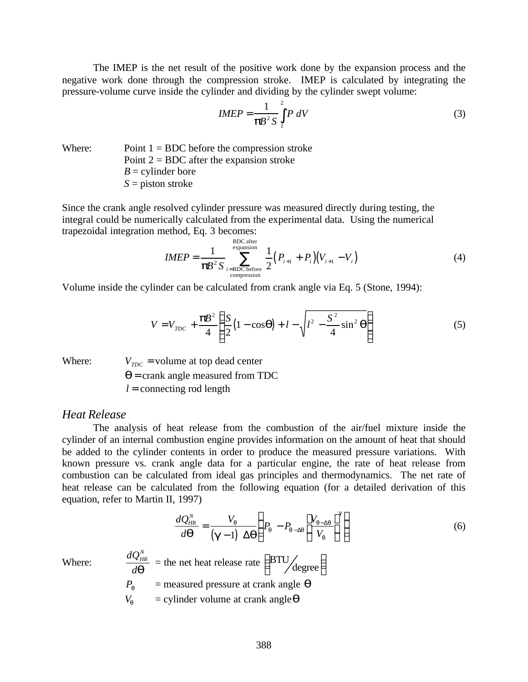The IMEP is the net result of the positive work done by the expansion process and the negative work done through the compression stroke. IMEP is calculated by integrating the pressure-volume curve inside the cylinder and dividing by the cylinder swept volume:

$$
IMEP = \frac{1}{\mathbf{p} \mathbf{B}^2 S} \int_{1}^{2} P \ dV \tag{3}
$$

Where: Point  $1 = BDC$  before the compression stroke Point  $2 = BDC$  after the expansion stroke  $B =$  cylinder bore *S* = piston stroke

Since the crank angle resolved cylinder pressure was measured directly during testing, the integral could be numerically calculated from the experimental data. Using the numerical trapezoidal integration method, Eq. 3 becomes: BDC after

$$
IMEP = \frac{1}{\mathbf{p}B^2 \mathbf{S}} \sum_{i=\text{BDC before}}^{\text{BDC after}} \frac{1}{2} \Big( P_{i+1} + P_i \Big) \Big( V_{i+1} - V_i \Big) \tag{4}
$$

Volume inside the cylinder can be calculated from crank angle via Eq. 5 (Stone, 1994):

$$
V = V_{TDC} + \frac{\mathbf{p}B^2}{4} \left\{ \frac{S}{2} (1 - \cos \mathbf{q}) + l - \sqrt{l^2 - \frac{S^2}{4} \sin^2 \mathbf{q}} \right\}
$$
(5)

Where:

Where:  $V_{TDC}$  = volume at top dead center

*q* = crank angle measured from TDC

 $l =$  connecting rod length

#### *Heat Release*

The analysis of heat release from the combustion of the air/fuel mixture inside the cylinder of an internal combustion engine provides information on the amount of heat that should be added to the cylinder contents in order to produce the measured pressure variations. With known pressure vs. crank angle data for a particular engine, the rate of heat release from combustion can be calculated from ideal gas principles and thermodynamics. The net rate of heat release can be calculated from the following equation (for a detailed derivation of this equation, refer to Martin II, 1997)

$$
\frac{dQ_{HR}^{N}}{d\boldsymbol{q}} = \frac{V_{q}}{(\boldsymbol{g}-1) \Delta \boldsymbol{q}} \left( P_{q} - P_{q-\Delta q} \left[ \frac{V_{q-\Delta q}}{V_{q}} \right]^{\boldsymbol{g}} \right)
$$
\n
$$
\frac{dQ_{HR}^{N}}{d\boldsymbol{q}} = \text{the net heat release rate } \left( \frac{\text{BTU}}{\text{degree}} \right)
$$
\n
$$
P_{q} = \text{measured pressure at crash angle } \boldsymbol{q}
$$
\n
$$
V_{q} = \text{cylinder volume at crash angle } \boldsymbol{q}
$$
\n(6)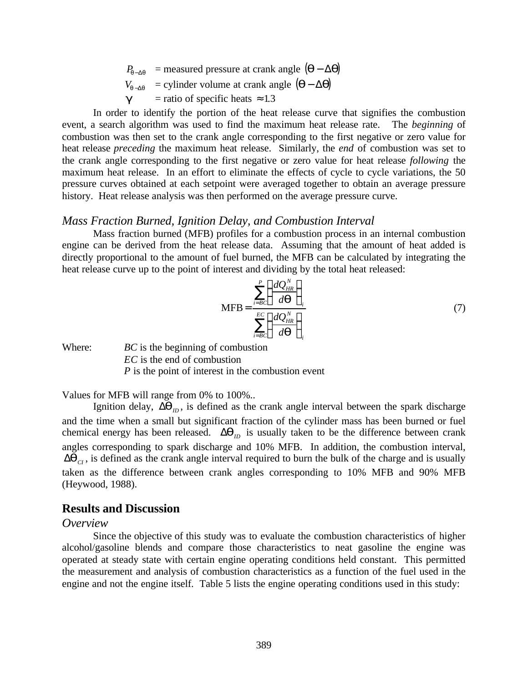$$
P_{q-\Delta q} = \text{measured pressure at crash angle } (q - \Delta q)
$$

$$
V_{q \rightarrow q}
$$
 = cylinder volume at crash angle  $(\mathbf{q} - \Delta \mathbf{q})$ 

 $g$  = ratio of specific heats  $\approx 1.3$ 

In order to identify the portion of the heat release curve that signifies the combustion event, a search algorithm was used to find the maximum heat release rate. The *beginning* of combustion was then set to the crank angle corresponding to the first negative or zero value for heat release *preceding* the maximum heat release. Similarly, the *end* of combustion was set to the crank angle corresponding to the first negative or zero value for heat release *following* the maximum heat release. In an effort to eliminate the effects of cycle to cycle variations, the 50 pressure curves obtained at each setpoint were averaged together to obtain an average pressure history. Heat release analysis was then performed on the average pressure curve.

#### *Mass Fraction Burned, Ignition Delay, and Combustion Interval*

Mass fraction burned (MFB) profiles for a combustion process in an internal combustion engine can be derived from the heat release data. Assuming that the amount of heat added is directly proportional to the amount of fuel burned, the MFB can be calculated by integrating the heat release curve up to the point of interest and dividing by the total heat released:

$$
MFB = \frac{\sum_{i=BC}^{P} \left(\frac{dQ_{HR}^{N}}{d\boldsymbol{q}}\right)_{i}}{\sum_{i=BC}^{EC} \left(\frac{dQ_{HR}^{N}}{d\boldsymbol{q}}\right)_{i}}
$$
(7)

Where: *BC* is the beginning of combustion *EC* is the end of combustion *P* is the point of interest in the combustion event

Values for MFB will range from 0% to 100%..

Ignition delay,  $\Delta \mathbf{q}_D$ , is defined as the crank angle interval between the spark discharge and the time when a small but significant fraction of the cylinder mass has been burned or fuel chemical energy has been released.  $\Delta q_D$  is usually taken to be the difference between crank angles corresponding to spark discharge and 10% MFB. In addition, the combustion interval,  $\Delta q$ <sub>*CI*</sub>, is defined as the crank angle interval required to burn the bulk of the charge and is usually taken as the difference between crank angles corresponding to 10% MFB and 90% MFB (Heywood, 1988).

## **Results and Discussion**

#### *Overview*

Since the objective of this study was to evaluate the combustion characteristics of higher alcohol/gasoline blends and compare those characteristics to neat gasoline the engine was operated at steady state with certain engine operating conditions held constant. This permitted the measurement and analysis of combustion characteristics as a function of the fuel used in the engine and not the engine itself. Table 5 lists the engine operating conditions used in this study: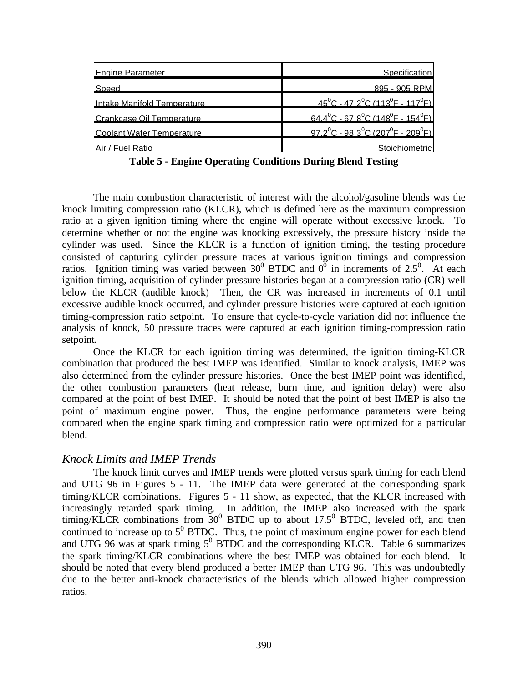| <b>Engine Parameter</b>          | Specification                                                                    |
|----------------------------------|----------------------------------------------------------------------------------|
| Speed                            | 895 - 905 RPM                                                                    |
| Intake Manifold Temperature      | $45^{\circ}$ C - 47.2 $^{\circ}$ C (113 $^{\circ}$ F - 117 $^{\circ}$ F)         |
| Crankcase Oil Temperature        | $64.4^{\circ}$ C - 67.8 <sup>°</sup> C (148 <sup>°</sup> F - 154 <sup>°</sup> F) |
| <b>Coolant Water Temperature</b> | $97.2^{\circ}$ C - 98.3 $^{\circ}$ C (207 $^{\circ}$ F - 209 $^{\circ}$ F)       |
| Air / Fuel Ratio                 | Stoichiometric                                                                   |

**Table 5 - Engine Operating Conditions During Blend Testing**

The main combustion characteristic of interest with the alcohol/gasoline blends was the knock limiting compression ratio (KLCR), which is defined here as the maximum compression ratio at a given ignition timing where the engine will operate without excessive knock. To determine whether or not the engine was knocking excessively, the pressure history inside the cylinder was used. Since the KLCR is a function of ignition timing, the testing procedure consisted of capturing cylinder pressure traces at various ignition timings and compression ratios. Ignition timing was varied between 30<sup>0</sup> BTDC and  $0^{\overline{0}}$  in increments of 2.5<sup>0</sup>. At each ignition timing, acquisition of cylinder pressure histories began at a compression ratio (CR) well below the KLCR (audible knock) Then, the CR was increased in increments of 0.1 until excessive audible knock occurred, and cylinder pressure histories were captured at each ignition timing-compression ratio setpoint. To ensure that cycle-to-cycle variation did not influence the analysis of knock, 50 pressure traces were captured at each ignition timing-compression ratio setpoint.

Once the KLCR for each ignition timing was determined, the ignition timing-KLCR combination that produced the best IMEP was identified. Similar to knock analysis, IMEP was also determined from the cylinder pressure histories. Once the best IMEP point was identified, the other combustion parameters (heat release, burn time, and ignition delay) were also compared at the point of best IMEP. It should be noted that the point of best IMEP is also the point of maximum engine power. Thus, the engine performance parameters were being compared when the engine spark timing and compression ratio were optimized for a particular blend.

# *Knock Limits and IMEP Trends*

The knock limit curves and IMEP trends were plotted versus spark timing for each blend and UTG 96 in Figures 5 - 11. The IMEP data were generated at the corresponding spark timing/KLCR combinations. Figures 5 - 11 show, as expected, that the KLCR increased with increasingly retarded spark timing. In addition, the IMEP also increased with the spark timing/KLCR combinations from  $30^0$  BTDC up to about 17.5<sup>0</sup> BTDC, leveled off, and then continued to increase up to  $5^0$  BTDC. Thus, the point of maximum engine power for each blend and UTG 96 was at spark timing  $5^0$  BTDC and the corresponding KLCR. Table 6 summarizes the spark timing/KLCR combinations where the best IMEP was obtained for each blend. It should be noted that every blend produced a better IMEP than UTG 96. This was undoubtedly due to the better anti-knock characteristics of the blends which allowed higher compression ratios.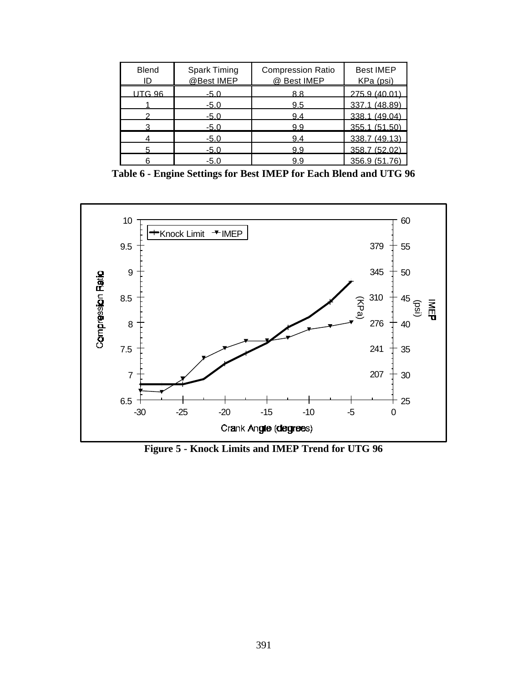| <b>Blend</b><br>ID | <b>Spark Timing</b><br>@Best IMEP | <b>Compression Ratio</b><br>@ Best IMEP | <b>Best IMEP</b><br>KPa (psi) |
|--------------------|-----------------------------------|-----------------------------------------|-------------------------------|
| <b>UTG 96</b>      | $-5.0$                            | 8.8                                     | 275.9 (40.01)                 |
|                    | $-5.0$                            | 9.5                                     | 337.1 (48.89)                 |
|                    | $-5.0$                            | 9.4                                     | 338.1 (49.04)                 |
|                    | $-5.0$                            | 9.9                                     | 355.1 (51.50)                 |
|                    | $-5.0$                            | 9.4                                     | 338.7 (49.13)                 |
|                    | $-5.0$                            | 9.9                                     | 358.7 (52.02)                 |
|                    | $-5.0$                            | 9.9                                     | 356.9 (51.76)                 |

**Table 6 - Engine Settings for Best IMEP for Each Blend and UTG 96**



**Figure 5 - Knock Limits and IMEP Trend for UTG 96**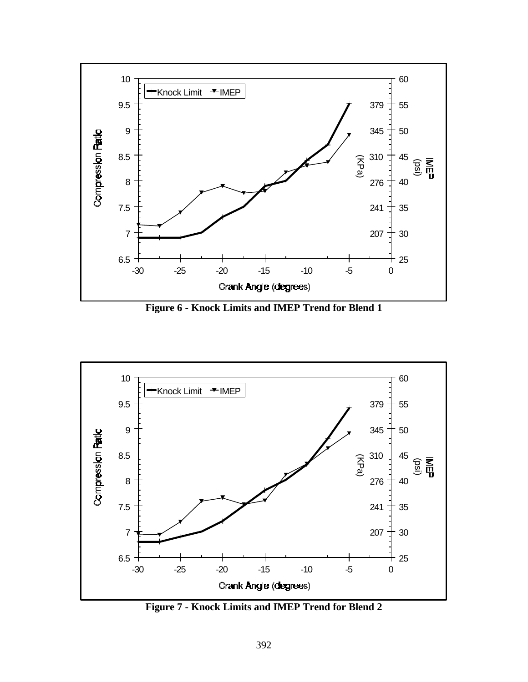

**Figure 6 - Knock Limits and IMEP Trend for Blend 1**



**Figure 7 - Knock Limits and IMEP Trend for Blend 2**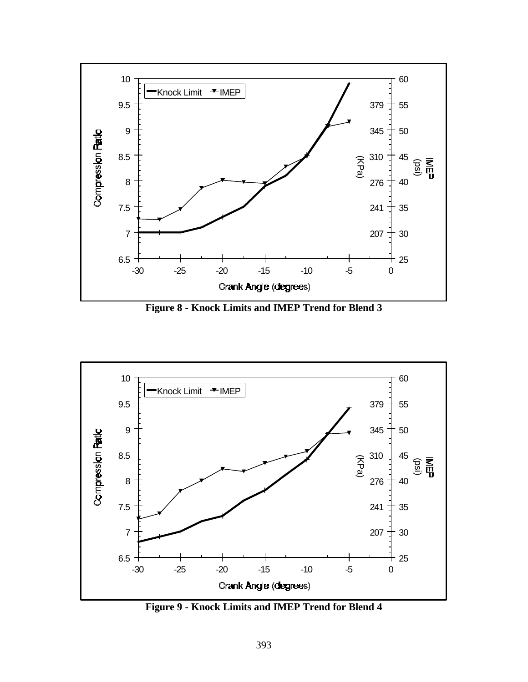

**Figure 8 - Knock Limits and IMEP Trend for Blend 3**



**Figure 9 - Knock Limits and IMEP Trend for Blend 4**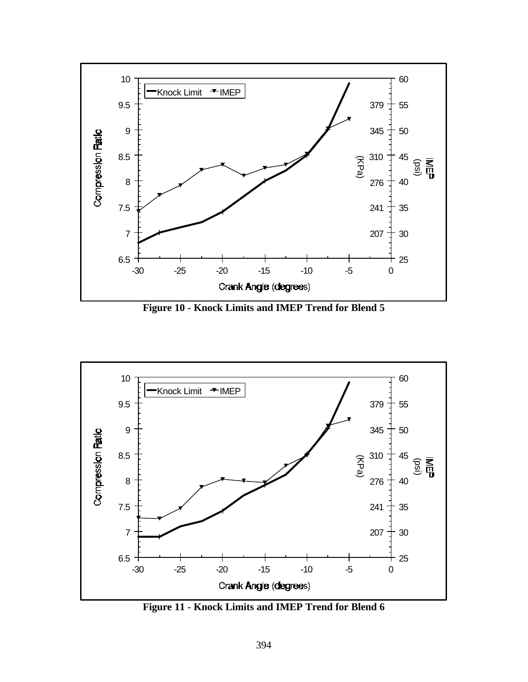

**Figure 10 - Knock Limits and IMEP Trend for Blend 5**



**Figure 11 - Knock Limits and IMEP Trend for Blend 6**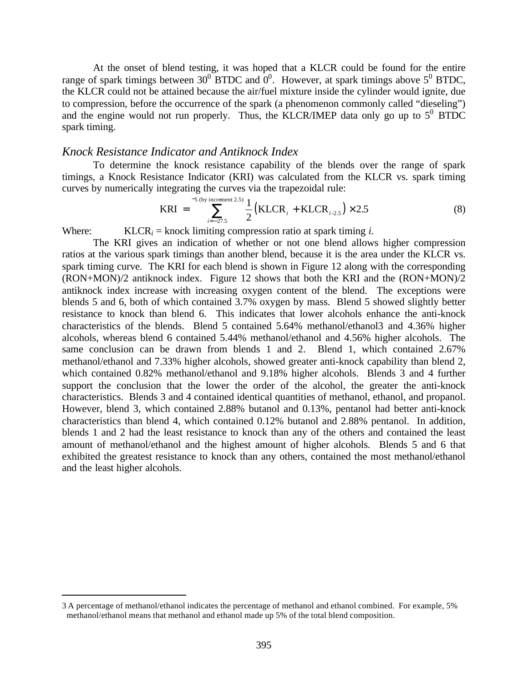At the onset of blend testing, it was hoped that a KLCR could be found for the entire range of spark timings between 30<sup>0</sup> BTDC and  $0^0$ . However, at spark timings above 5<sup>0</sup> BTDC, the KLCR could not be attained because the air/fuel mixture inside the cylinder would ignite, due to compression, before the occurrence of the spark (a phenomenon commonly called "dieseling") and the engine would not run properly. Thus, the KLCR/IMEP data only go up to  $5^0$  BTDC spark timing.

#### *Knock Resistance Indicator and Antiknock Index*

To determine the knock resistance capability of the blends over the range of spark timings, a Knock Resistance Indicator (KRI) was calculated from the KLCR vs. spark timing curves by numerically integrating the curves via the trapezoidal rule:

$$
KRI = \sum_{i=-27.5}^{-5 \text{ (by increment 2.5)}} \frac{1}{2} (KLCR_i + KLCR_{i-2.5}) \times 2.5
$$
 (8)

Where:  $KLCR_i =$  knock limiting compression ratio at spark timing *i*.

The KRI gives an indication of whether or not one blend allows higher compression ratios at the various spark timings than another blend, because it is the area under the KLCR vs. spark timing curve. The KRI for each blend is shown in Figure 12 along with the corresponding (RON+MON)/2 antiknock index. Figure 12 shows that both the KRI and the (RON+MON)/2 antiknock index increase with increasing oxygen content of the blend. The exceptions were blends 5 and 6, both of which contained 3.7% oxygen by mass. Blend 5 showed slightly better resistance to knock than blend 6. This indicates that lower alcohols enhance the anti-knock characteristics of the blends. Blend 5 contained 5.64% methanol/ethanol3 and 4.36% higher alcohols, whereas blend 6 contained 5.44% methanol/ethanol and 4.56% higher alcohols. The same conclusion can be drawn from blends 1 and 2. Blend 1, which contained 2.67% methanol/ethanol and 7.33% higher alcohols, showed greater anti-knock capability than blend 2, which contained 0.82% methanol/ethanol and 9.18% higher alcohols. Blends 3 and 4 further support the conclusion that the lower the order of the alcohol, the greater the anti-knock characteristics. Blends 3 and 4 contained identical quantities of methanol, ethanol, and propanol. However, blend 3, which contained 2.88% butanol and 0.13%, pentanol had better anti-knock characteristics than blend 4, which contained 0.12% butanol and 2.88% pentanol. In addition, blends 1 and 2 had the least resistance to knock than any of the others and contained the least amount of methanol/ethanol and the highest amount of higher alcohols. Blends 5 and 6 that exhibited the greatest resistance to knock than any others, contained the most methanol/ethanol and the least higher alcohols.

 $\overline{a}$ 

<sup>3</sup> A percentage of methanol/ethanol indicates the percentage of methanol and ethanol combined. For example, 5% methanol/ethanol means that methanol and ethanol made up 5% of the total blend composition.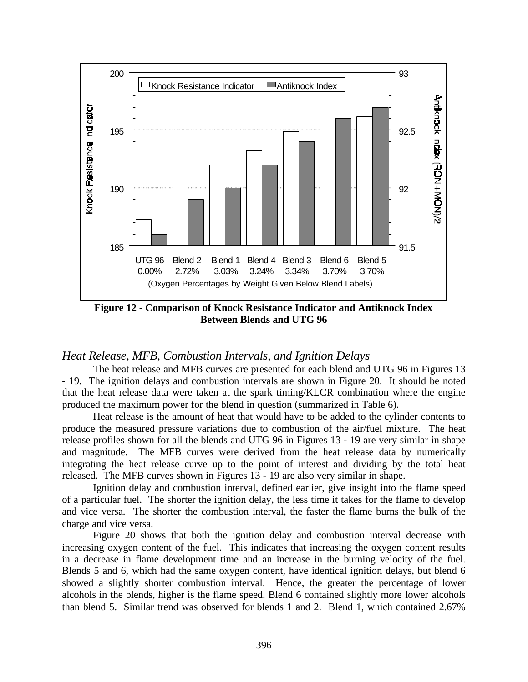

**Figure 12 - Comparison of Knock Resistance Indicator and Antiknock Index Between Blends and UTG 96**

# *Heat Release, MFB, Combustion Intervals, and Ignition Delays*

The heat release and MFB curves are presented for each blend and UTG 96 in Figures 13 - 19. The ignition delays and combustion intervals are shown in Figure 20. It should be noted that the heat release data were taken at the spark timing/KLCR combination where the engine produced the maximum power for the blend in question (summarized in Table 6).

Heat release is the amount of heat that would have to be added to the cylinder contents to produce the measured pressure variations due to combustion of the air/fuel mixture. The heat release profiles shown for all the blends and UTG 96 in Figures 13 - 19 are very similar in shape and magnitude. The MFB curves were derived from the heat release data by numerically integrating the heat release curve up to the point of interest and dividing by the total heat released. The MFB curves shown in Figures 13 - 19 are also very similar in shape.

Ignition delay and combustion interval, defined earlier, give insight into the flame speed of a particular fuel. The shorter the ignition delay, the less time it takes for the flame to develop and vice versa. The shorter the combustion interval, the faster the flame burns the bulk of the charge and vice versa.

Figure 20 shows that both the ignition delay and combustion interval decrease with increasing oxygen content of the fuel. This indicates that increasing the oxygen content results in a decrease in flame development time and an increase in the burning velocity of the fuel. Blends 5 and 6, which had the same oxygen content, have identical ignition delays, but blend 6 showed a slightly shorter combustion interval. Hence, the greater the percentage of lower alcohols in the blends, higher is the flame speed. Blend 6 contained slightly more lower alcohols than blend 5. Similar trend was observed for blends 1 and 2. Blend 1, which contained 2.67%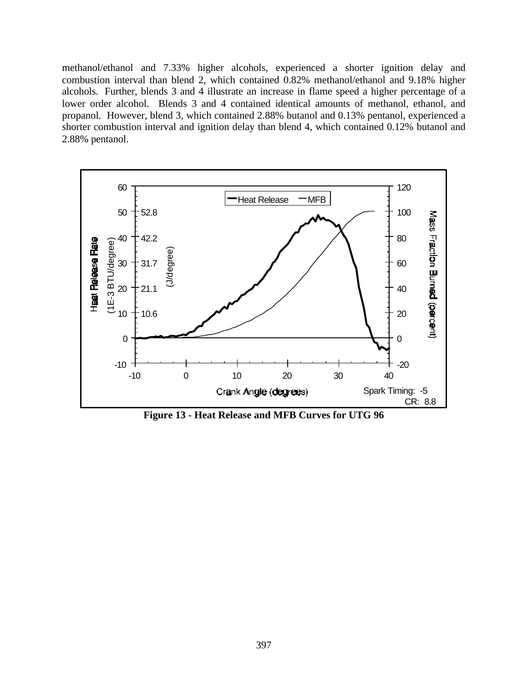methanol/ethanol and 7.33% higher alcohols, experienced a shorter ignition delay and combustion interval than blend 2, which contained 0.82% methanol/ethanol and 9.18% higher alcohols. Further, blends 3 and 4 illustrate an increase in flame speed a higher percentage of a lower order alcohol. Blends 3 and 4 contained identical amounts of methanol, ethanol, and propanol. However, blend 3, which contained 2.88% butanol and 0.13% pentanol, experienced a shorter combustion interval and ignition delay than blend 4, which contained 0.12% butanol and 2.88% pentanol.



**Figure 13 - Heat Release and MFB Curves for UTG 96**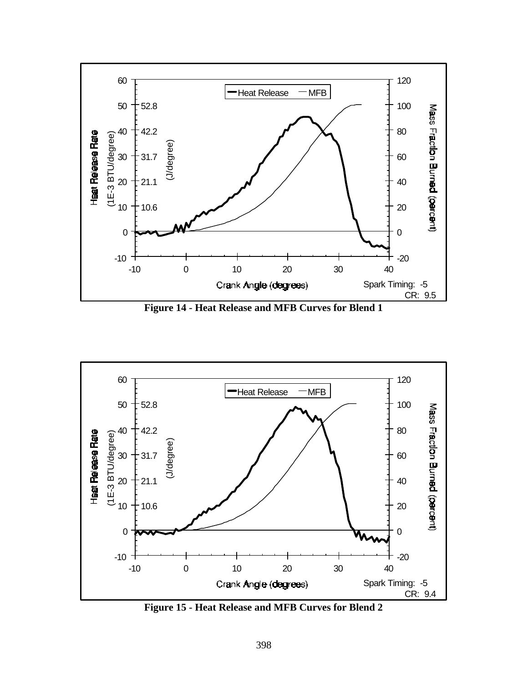

**Figure 14 - Heat Release and MFB Curves for Blend 1**



**Figure 15 - Heat Release and MFB Curves for Blend 2**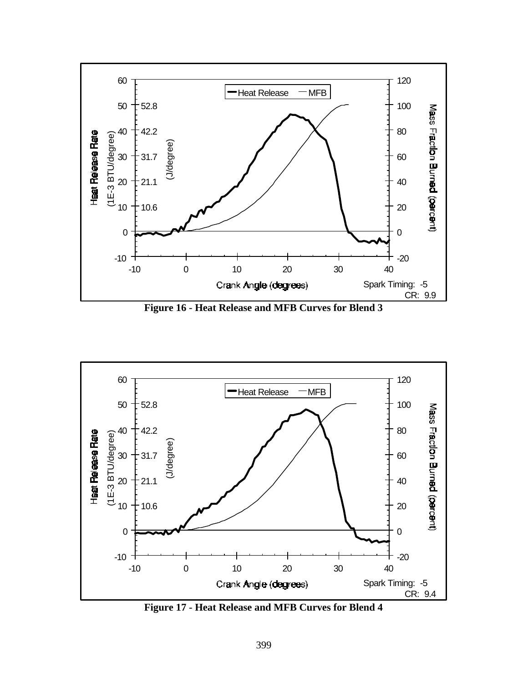

**Figure 16 - Heat Release and MFB Curves for Blend 3**



**Figure 17 - Heat Release and MFB Curves for Blend 4**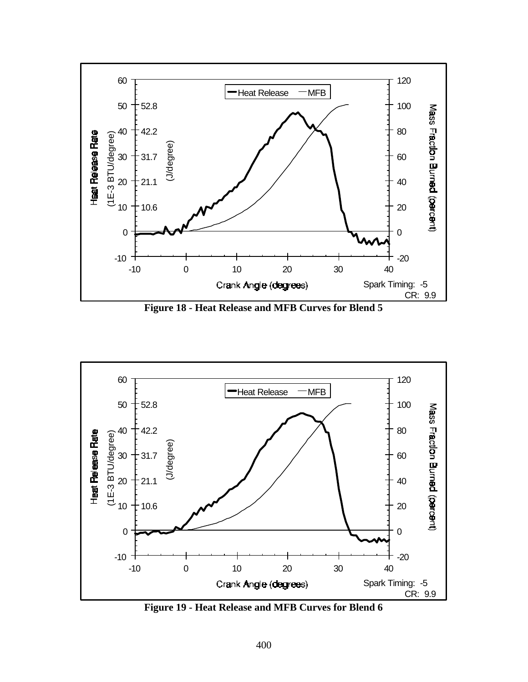

**Figure 18 - Heat Release and MFB Curves for Blend 5**



**Figure 19 - Heat Release and MFB Curves for Blend 6**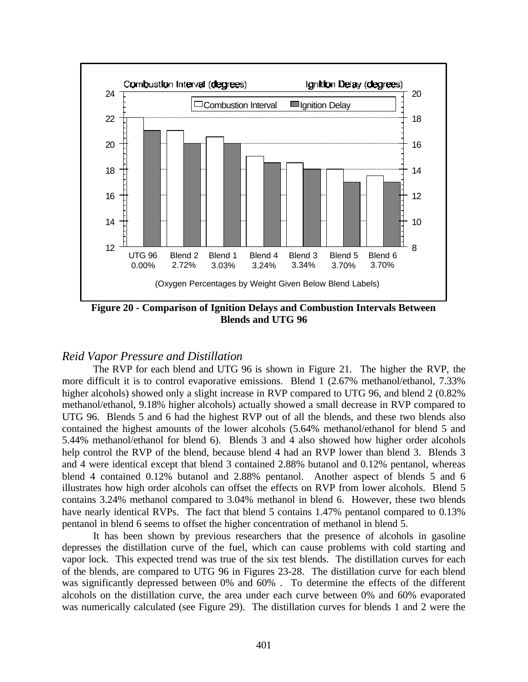

**Figure 20 - Comparison of Ignition Delays and Combustion Intervals Between Blends and UTG 96**

# *Reid Vapor Pressure and Distillation*

The RVP for each blend and UTG 96 is shown in Figure 21. The higher the RVP, the more difficult it is to control evaporative emissions. Blend 1 (2.67% methanol/ethanol, 7.33% higher alcohols) showed only a slight increase in RVP compared to UTG 96, and blend 2 (0.82%) methanol/ethanol, 9.18% higher alcohols) actually showed a small decrease in RVP compared to UTG 96. Blends 5 and 6 had the highest RVP out of all the blends, and these two blends also contained the highest amounts of the lower alcohols (5.64% methanol/ethanol for blend 5 and 5.44% methanol/ethanol for blend 6). Blends 3 and 4 also showed how higher order alcohols help control the RVP of the blend, because blend 4 had an RVP lower than blend 3. Blends 3 and 4 were identical except that blend 3 contained 2.88% butanol and 0.12% pentanol, whereas blend 4 contained 0.12% butanol and 2.88% pentanol. Another aspect of blends 5 and 6 illustrates how high order alcohols can offset the effects on RVP from lower alcohols. Blend 5 contains 3.24% methanol compared to 3.04% methanol in blend 6. However, these two blends have nearly identical RVPs. The fact that blend 5 contains 1.47% pentanol compared to 0.13% pentanol in blend 6 seems to offset the higher concentration of methanol in blend 5.

It has been shown by previous researchers that the presence of alcohols in gasoline depresses the distillation curve of the fuel, which can cause problems with cold starting and vapor lock. This expected trend was true of the six test blends. The distillation curves for each of the blends, are compared to UTG 96 in Figures 23-28. The distillation curve for each blend was significantly depressed between 0% and 60% . To determine the effects of the different alcohols on the distillation curve, the area under each curve between 0% and 60% evaporated was numerically calculated (see Figure 29). The distillation curves for blends 1 and 2 were the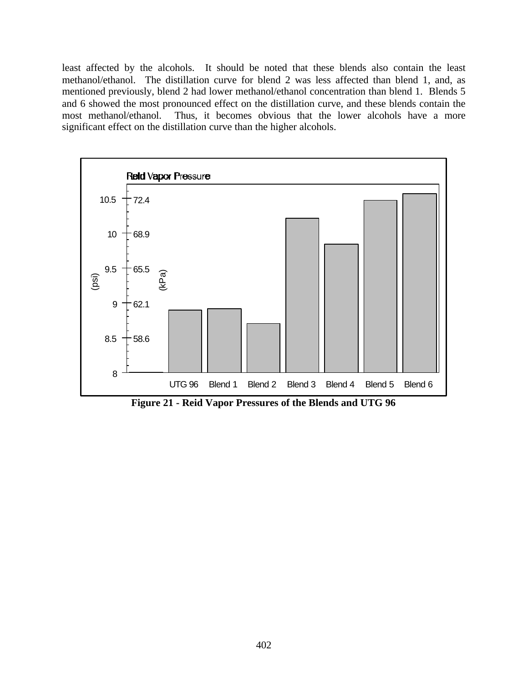least affected by the alcohols. It should be noted that these blends also contain the least methanol/ethanol. The distillation curve for blend 2 was less affected than blend 1, and, as mentioned previously, blend 2 had lower methanol/ethanol concentration than blend 1. Blends 5 and 6 showed the most pronounced effect on the distillation curve, and these blends contain the most methanol/ethanol. Thus, it becomes obvious that the lower alcohols have a more significant effect on the distillation curve than the higher alcohols.



**Figure 21 - Reid Vapor Pressures of the Blends and UTG 96**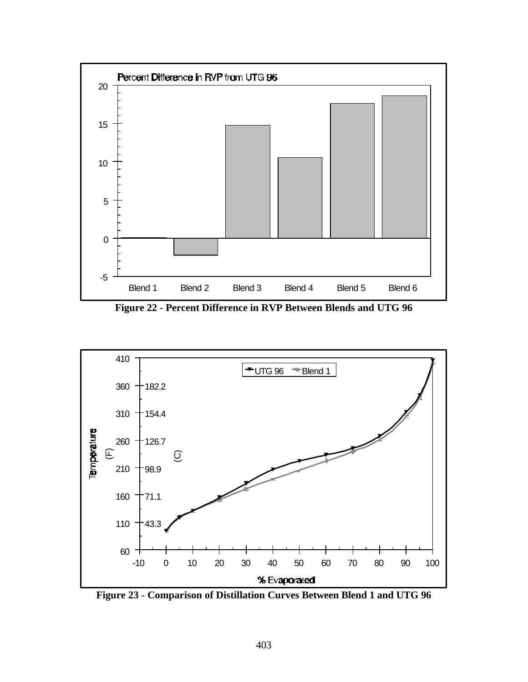

**Figure 22 - Percent Difference in RVP Between Blends and UTG 96**



**Figure 23 - Comparison of Distillation Curves Between Blend 1 and UTG 96**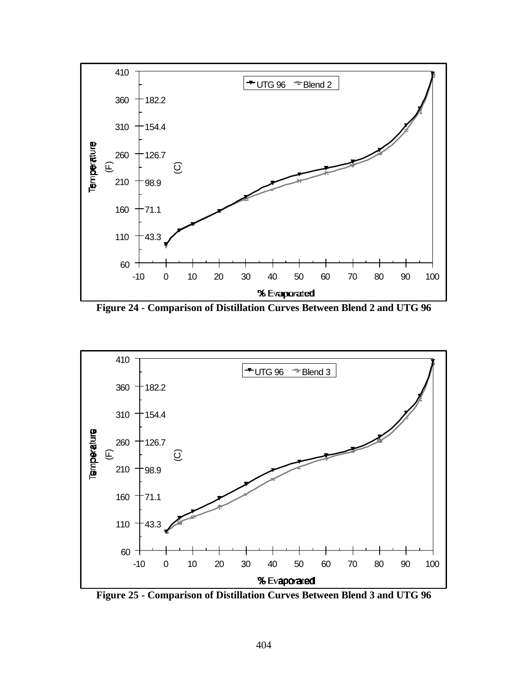

**Figure 24 - Comparison of Distillation Curves Between Blend 2 and UTG 96**



**Figure 25 - Comparison of Distillation Curves Between Blend 3 and UTG 96**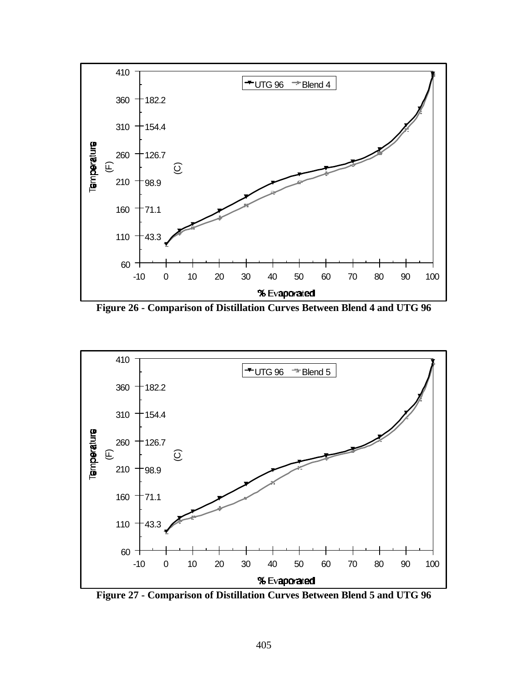

**Figure 26 - Comparison of Distillation Curves Between Blend 4 and UTG 96**



**Figure 27 - Comparison of Distillation Curves Between Blend 5 and UTG 96**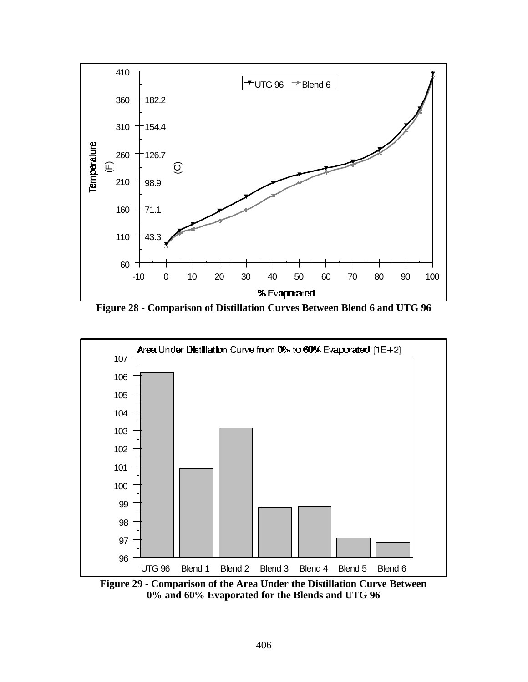

**Figure 28 - Comparison of Distillation Curves Between Blend 6 and UTG 96**



**Figure 29 - Comparison of the Area Under the Distillation Curve Between 0% and 60% Evaporated for the Blends and UTG 96**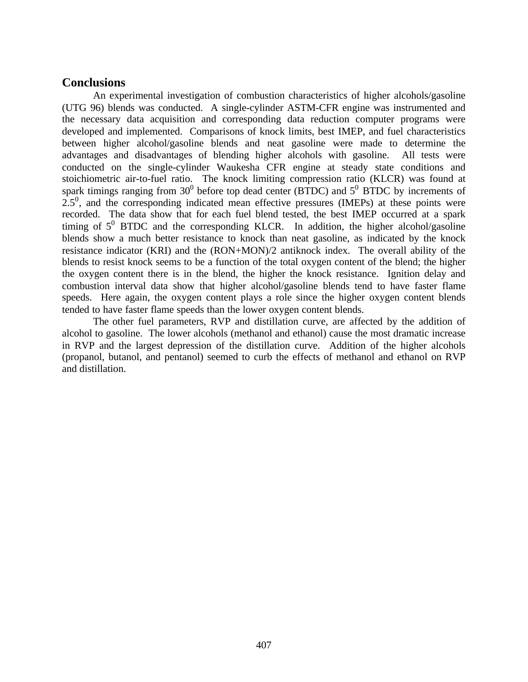## **Conclusions**

An experimental investigation of combustion characteristics of higher alcohols/gasoline (UTG 96) blends was conducted. A single-cylinder ASTM-CFR engine was instrumented and the necessary data acquisition and corresponding data reduction computer programs were developed and implemented. Comparisons of knock limits, best IMEP, and fuel characteristics between higher alcohol/gasoline blends and neat gasoline were made to determine the advantages and disadvantages of blending higher alcohols with gasoline. All tests were conducted on the single-cylinder Waukesha CFR engine at steady state conditions and stoichiometric air-to-fuel ratio. The knock limiting compression ratio (KLCR) was found at spark timings ranging from  $30^0$  before top dead center (BTDC) and  $5^0$  BTDC by increments of  $2.5^{\circ}$ , and the corresponding indicated mean effective pressures (IMEPs) at these points were recorded. The data show that for each fuel blend tested, the best IMEP occurred at a spark timing of  $5^0$  BTDC and the corresponding KLCR. In addition, the higher alcohol/gasoline blends show a much better resistance to knock than neat gasoline, as indicated by the knock resistance indicator (KRI) and the (RON+MON)/2 antiknock index. The overall ability of the blends to resist knock seems to be a function of the total oxygen content of the blend; the higher the oxygen content there is in the blend, the higher the knock resistance. Ignition delay and combustion interval data show that higher alcohol/gasoline blends tend to have faster flame speeds. Here again, the oxygen content plays a role since the higher oxygen content blends tended to have faster flame speeds than the lower oxygen content blends.

The other fuel parameters, RVP and distillation curve, are affected by the addition of alcohol to gasoline. The lower alcohols (methanol and ethanol) cause the most dramatic increase in RVP and the largest depression of the distillation curve. Addition of the higher alcohols (propanol, butanol, and pentanol) seemed to curb the effects of methanol and ethanol on RVP and distillation.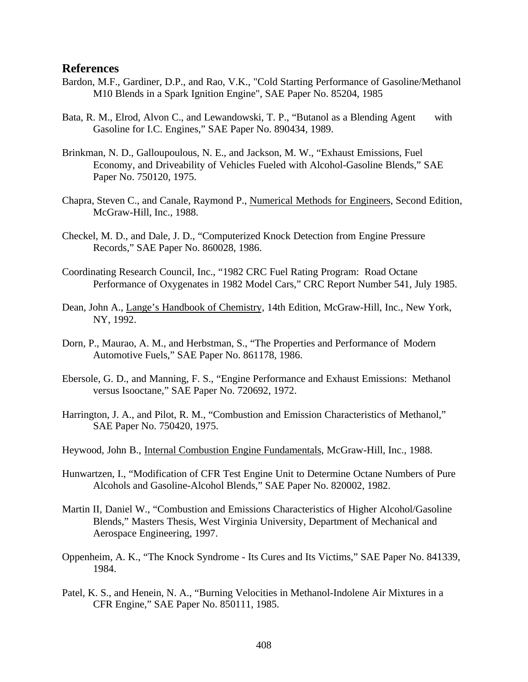#### **References**

- Bardon, M.F., Gardiner, D.P., and Rao, V.K., "Cold Starting Performance of Gasoline/Methanol M10 Blends in a Spark Ignition Engine", SAE Paper No. 85204, 1985
- Bata, R. M., Elrod, Alvon C., and Lewandowski, T. P., "Butanol as a Blending Agent with Gasoline for I.C. Engines," SAE Paper No. 890434, 1989.
- Brinkman, N. D., Galloupoulous, N. E., and Jackson, M. W., "Exhaust Emissions, Fuel Economy, and Driveability of Vehicles Fueled with Alcohol-Gasoline Blends," SAE Paper No. 750120, 1975.
- Chapra, Steven C., and Canale, Raymond P., Numerical Methods for Engineers, Second Edition, McGraw-Hill, Inc., 1988.
- Checkel, M. D., and Dale, J. D., "Computerized Knock Detection from Engine Pressure Records," SAE Paper No. 860028, 1986.
- Coordinating Research Council, Inc., "1982 CRC Fuel Rating Program: Road Octane Performance of Oxygenates in 1982 Model Cars," CRC Report Number 541, July 1985.
- Dean, John A., Lange's Handbook of Chemistry, 14th Edition, McGraw-Hill, Inc., New York, NY, 1992.
- Dorn, P., Maurao, A. M., and Herbstman, S., "The Properties and Performance of Modern Automotive Fuels," SAE Paper No. 861178, 1986.
- Ebersole, G. D., and Manning, F. S., "Engine Performance and Exhaust Emissions: Methanol versus Isooctane," SAE Paper No. 720692, 1972.
- Harrington, J. A., and Pilot, R. M., "Combustion and Emission Characteristics of Methanol," SAE Paper No. 750420, 1975.
- Heywood, John B., Internal Combustion Engine Fundamentals, McGraw-Hill, Inc., 1988.
- Hunwartzen, I., "Modification of CFR Test Engine Unit to Determine Octane Numbers of Pure Alcohols and Gasoline-Alcohol Blends," SAE Paper No. 820002, 1982.
- Martin II, Daniel W., "Combustion and Emissions Characteristics of Higher Alcohol/Gasoline Blends," Masters Thesis, West Virginia University, Department of Mechanical and Aerospace Engineering, 1997.
- Oppenheim, A. K., "The Knock Syndrome Its Cures and Its Victims," SAE Paper No. 841339, 1984.
- Patel, K. S., and Henein, N. A., "Burning Velocities in Methanol-Indolene Air Mixtures in a CFR Engine," SAE Paper No. 850111, 1985.